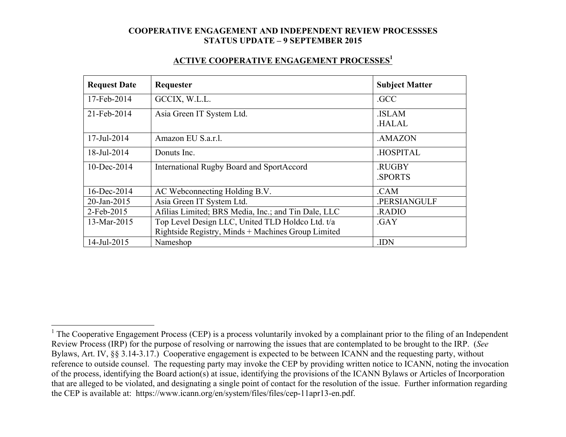#### **ACTIVE COOPERATIVE ENGAGEMENT PROCESSES1**

| <b>Request Date</b> | Requester                                           | <b>Subject Matter</b>        |
|---------------------|-----------------------------------------------------|------------------------------|
| 17-Feb-2014         | GCCIX, W.L.L.                                       | .GCC                         |
| 21-Feb-2014         | Asia Green IT System Ltd.                           | <b>ISLAM</b><br><b>HALAL</b> |
|                     |                                                     |                              |
| 17-Jul-2014         | Amazon EU S.a.r.l.                                  | .AMAZON                      |
| 18-Jul-2014         | Donuts Inc.                                         | <b>HOSPITAL</b>              |
| $10$ -Dec-2014      | <b>International Rugby Board and SportAccord</b>    | .RUGBY                       |
|                     |                                                     | <b>SPORTS</b>                |
| 16-Dec-2014         | AC Webconnecting Holding B.V.                       | .CAM                         |
| 20-Jan-2015         | Asia Green IT System Ltd.                           | .PERSIANGULF                 |
| 2-Feb-2015          | Afilias Limited; BRS Media, Inc.; and Tin Dale, LLC | .RADIO                       |
| 13-Mar-2015         | Top Level Design LLC, United TLD Holdco Ltd. t/a    | .GAY                         |
|                     | Rightside Registry, Minds + Machines Group Limited  |                              |
| 14-Jul-2015         | Nameshop                                            | .IDN                         |

<sup>&</sup>lt;sup>1</sup> The Cooperative Engagement Process (CEP) is a process voluntarily invoked by a complainant prior to the filing of an Independent Review Process (IRP) for the purpose of resolving or narrowing the issues that are contemplated to be brought to the IRP. (*See* Bylaws, Art. IV, §§ 3.14-3.17.) Cooperative engagement is expected to be between ICANN and the requesting party, without reference to outside counsel. The requesting party may invoke the CEP by providing written notice to ICANN, noting the invocation of the process, identifying the Board action(s) at issue, identifying the provisions of the ICANN Bylaws or Articles of Incorporation that are alleged to be violated, and designating a single point of contact for the resolution of the issue. Further information regarding the CEP is available at: https://www.icann.org/en/system/files/files/cep-11apr13-en.pdf.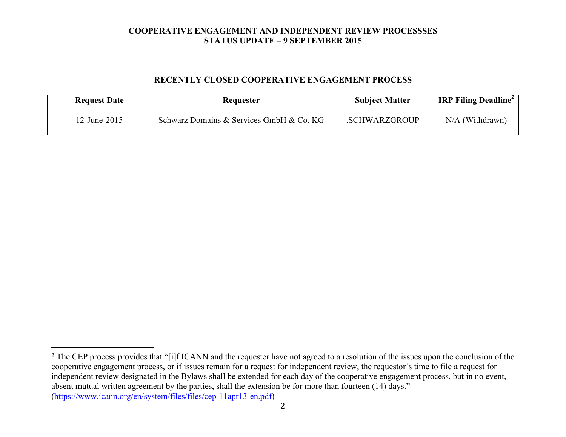## **RECENTLY CLOSED COOPERATIVE ENGAGEMENT PROCESS**

| <b>Request Date</b> | Requester                                | <b>Subject Matter</b> | <b>IRP Filing Deadline</b> |
|---------------------|------------------------------------------|-----------------------|----------------------------|
| $12$ -June-2015     | Schwarz Domains & Services GmbH & Co. KG | .SCHWARZGROUP         | $N/A$ (Withdrawn)          |

 

<sup>&</sup>lt;sup>2</sup> The CEP process provides that "[i]f ICANN and the requester have not agreed to a resolution of the issues upon the conclusion of the cooperative engagement process, or if issues remain for a request for independent review, the requestor's time to file a request for independent review designated in the Bylaws shall be extended for each day of the cooperative engagement process, but in no event, absent mutual written agreement by the parties, shall the extension be for more than fourteen (14) days." (https://www.icann.org/en/system/files/files/cep-11apr13-en.pdf)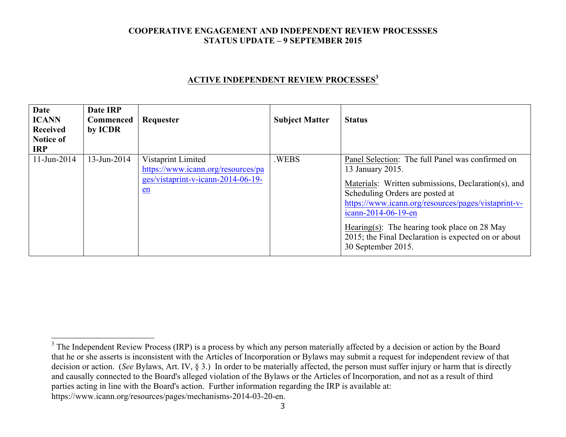# **ACTIVE INDEPENDENT REVIEW PROCESSES<sup>3</sup>**

| <b>Date</b><br><b>ICANN</b><br>Received<br><b>Notice of</b><br><b>IRP</b> | Date IRP<br>Commenced<br>by ICDR | Requester                                                                                              | <b>Subject Matter</b> | <b>Status</b>                                                                                                                                                                                                                                                                                                                                                               |
|---------------------------------------------------------------------------|----------------------------------|--------------------------------------------------------------------------------------------------------|-----------------------|-----------------------------------------------------------------------------------------------------------------------------------------------------------------------------------------------------------------------------------------------------------------------------------------------------------------------------------------------------------------------------|
| 11-Jun-2014                                                               | $13$ -Jun-2014                   | Vistaprint Limited<br>https://www.icann.org/resources/pa<br>ges/vistaprint-v-icann-2014-06-19-<br>$en$ | .WEBS                 | Panel Selection: The full Panel was confirmed on<br>13 January 2015.<br>Materials: Written submissions, Declaration(s), and<br>Scheduling Orders are posted at<br>https://www.icann.org/resources/pages/vistaprint-v-<br>icann-2014-06-19-en<br>Hearing(s): The hearing took place on $28$ May<br>2015; the Final Declaration is expected on or about<br>30 September 2015. |

3

<sup>&</sup>lt;sup>3</sup> The Independent Review Process (IRP) is a process by which any person materially affected by a decision or action by the Board that he or she asserts is inconsistent with the Articles of Incorporation or Bylaws may submit a request for independent review of that decision or action. (*See* Bylaws, Art. IV, § 3.) In order to be materially affected, the person must suffer injury or harm that is directly and causally connected to the Board's alleged violation of the Bylaws or the Articles of Incorporation, and not as a result of third parties acting in line with the Board's action. Further information regarding the IRP is available at: https://www.icann.org/resources/pages/mechanisms-2014-03-20-en.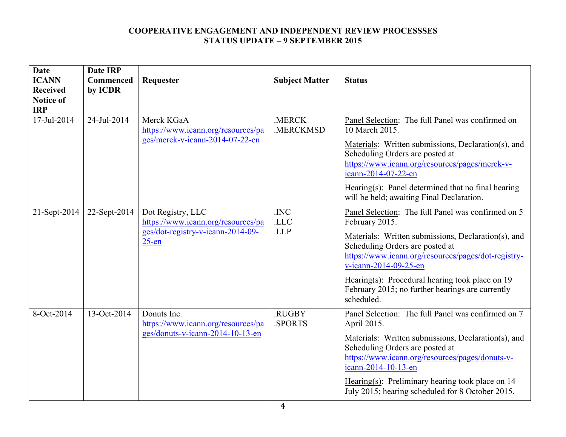| <b>Date</b>                    | <b>Date IRP</b> |                                                                                                          |                       |                                                                                                                                                                                                                                                                                                                                                                       |
|--------------------------------|-----------------|----------------------------------------------------------------------------------------------------------|-----------------------|-----------------------------------------------------------------------------------------------------------------------------------------------------------------------------------------------------------------------------------------------------------------------------------------------------------------------------------------------------------------------|
| <b>ICANN</b>                   | Commenced       | Requester                                                                                                | <b>Subject Matter</b> | <b>Status</b>                                                                                                                                                                                                                                                                                                                                                         |
| <b>Received</b>                | by ICDR         |                                                                                                          |                       |                                                                                                                                                                                                                                                                                                                                                                       |
| <b>Notice of</b><br><b>IRP</b> |                 |                                                                                                          |                       |                                                                                                                                                                                                                                                                                                                                                                       |
| 17-Jul-2014                    | 24-Jul-2014     | Merck KGaA<br>https://www.icann.org/resources/pa<br>ges/merck-v-icann-2014-07-22-en                      | .MERCK<br>.MERCKMSD   | Panel Selection: The full Panel was confirmed on<br>10 March 2015.<br>Materials: Written submissions, Declaration(s), and<br>Scheduling Orders are posted at<br>https://www.icann.org/resources/pages/merck-v-<br>icann-2014-07-22-en<br>Hearing $(s)$ : Panel determined that no final hearing<br>will be held; awaiting Final Declaration.                          |
| 21-Sept-2014                   | $22$ -Sept-2014 | Dot Registry, LLC<br>https://www.icann.org/resources/pa<br>ges/dot-registry-v-icann-2014-09-<br>$25$ -en | .INC<br>.LLC<br>.LLP  | Panel Selection: The full Panel was confirmed on 5<br>February 2015.<br>Materials: Written submissions, Declaration(s), and<br>Scheduling Orders are posted at<br>https://www.icann.org/resources/pages/dot-registry-<br>v-icann-2014-09-25-en<br>Hearing(s): Procedural hearing took place on $19$<br>February 2015; no further hearings are currently<br>scheduled. |
| 8-Oct-2014                     | 13-Oct-2014     | Donuts Inc.<br>https://www.icann.org/resources/pa<br>ges/donuts-v-icann-2014-10-13-en                    | .RUGBY<br>.SPORTS     | Panel Selection: The full Panel was confirmed on 7<br>April 2015.<br>Materials: Written submissions, Declaration(s), and<br>Scheduling Orders are posted at<br>https://www.icann.org/resources/pages/donuts-v-<br>icann-2014-10-13-en<br>Hearing(s): Preliminary hearing took place on $14$<br>July 2015; hearing scheduled for 8 October 2015.                       |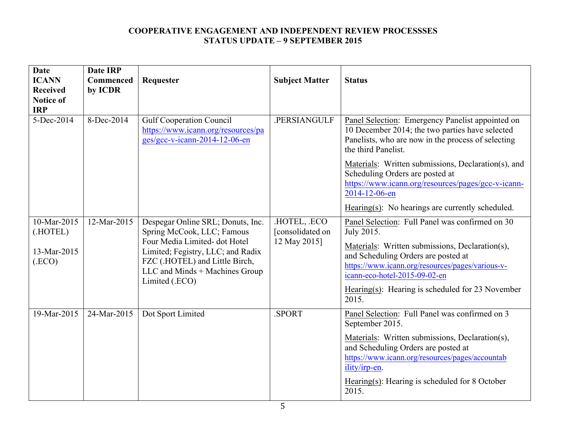| <b>Date</b><br><b>ICANN</b><br><b>Received</b><br><b>Notice of</b><br><b>IRP</b> | <b>Date IRP</b><br>Commenced<br>by ICDR | Requester                                                                                                                                                                                                                  | <b>Subject Matter</b>                          | <b>Status</b>                                                                                                                                                                                                                                                                                             |
|----------------------------------------------------------------------------------|-----------------------------------------|----------------------------------------------------------------------------------------------------------------------------------------------------------------------------------------------------------------------------|------------------------------------------------|-----------------------------------------------------------------------------------------------------------------------------------------------------------------------------------------------------------------------------------------------------------------------------------------------------------|
| 5-Dec-2014                                                                       | 8-Dec-2014                              | <b>Gulf Cooperation Council</b><br>https://www.icann.org/resources/pa<br>ges/gcc-v-icann-2014-12-06-en                                                                                                                     | .PERSIANGULF                                   | Panel Selection: Emergency Panelist appointed on<br>10 December 2014; the two parties have selected<br>Panelists, who are now in the process of selecting<br>the third Panelist.                                                                                                                          |
|                                                                                  |                                         |                                                                                                                                                                                                                            |                                                | Materials: Written submissions, Declaration(s), and<br>Scheduling Orders are posted at<br>https://www.icann.org/resources/pages/gcc-v-icann-<br>2014-12-06-en                                                                                                                                             |
|                                                                                  |                                         |                                                                                                                                                                                                                            |                                                | Hearing(s): No hearings are currently scheduled.                                                                                                                                                                                                                                                          |
| 10-Mar-2015<br>(.HOTEL)<br>13-Mar-2015<br>(ECO)                                  | 12-Mar-2015                             | Despegar Online SRL; Donuts, Inc.<br>Spring McCook, LLC; Famous<br>Four Media Limited-dot Hotel<br>Limited; Fegistry, LLC; and Radix<br>FZC (.HOTEL) and Little Birch,<br>LLC and Minds + Machines Group<br>Limited (.ECO) | HOTEL, ECO<br>[consolidated on<br>12 May 2015] | Panel Selection: Full Panel was confirmed on 30<br>July 2015.<br>Materials: Written submissions, Declaration(s),<br>and Scheduling Orders are posted at<br>https://www.icann.org/resources/pages/various-v-<br>icann-eco-hotel-2015-09-02-en<br>Hearing(s): Hearing is scheduled for 23 November<br>2015. |
| 19-Mar-2015                                                                      | 24-Mar-2015                             | Dot Sport Limited                                                                                                                                                                                                          | SPORT.                                         | Panel Selection: Full Panel was confirmed on 3<br>September 2015.<br>Materials: Written submissions, Declaration(s),<br>and Scheduling Orders are posted at<br>https://www.icann.org/resources/pages/accountab<br>ility/irp-en.<br>Hearing(s): Hearing is scheduled for 8 October<br>2015.                |